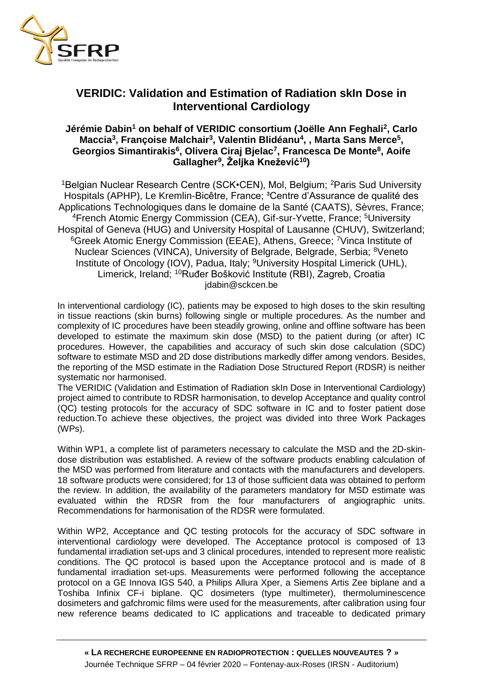

## **VERIDIC: Validation and Estimation of Radiation skIn Dose in Interventional Cardiology**

## **Jérémie Dabin<sup>1</sup> on behalf of VERIDIC consortium (Joëlle Ann Feghali<sup>2</sup> , Carlo Maccia<sup>3</sup> , Françoise Malchair<sup>3</sup> , Valentin Blidéanu<sup>4</sup> , , Marta Sans Merce<sup>5</sup> , Georgios Simantirakis<sup>6</sup> , Olivera Ciraj Bjelac<sup>7</sup> , Francesca De Monte<sup>8</sup> , Aoife Gallagher<sup>9</sup> , Željka Knežević<sup>10</sup>)**

<sup>1</sup>Belgian Nuclear Research Centre (SCK•CEN), Mol, Belgium; <sup>2</sup>Paris Sud University Hospitals (APHP), Le Kremlin-Bicêtre, France; <sup>3</sup>Centre d'Assurance de qualité des Applications Technologiques dans le domaine de la Santé (CAATS), Sèvres, France; <sup>4</sup> French Atomic Energy Commission (CEA), Gif-sur-Yvette, France; <sup>5</sup>University Hospital of Geneva (HUG) and University Hospital of Lausanne (CHUV), Switzerland; <sup>6</sup>Greek Atomic Energy Commission (EEAE), Athens, Greece; <sup>7</sup>Vinca Institute of Nuclear Sciences (VINCA), University of Belgrade, Belgrade, Serbia; <sup>8</sup>Veneto Institute of Oncology (IOV), Padua, Italy; <sup>9</sup>University Hospital Limerick (UHL), Limerick, Ireland; <sup>10</sup>Ruđer Bošković Institute (RBI), Zagreb, Croatia jdabin@sckcen.be

In interventional cardiology (IC), patients may be exposed to high doses to the skin resulting in tissue reactions (skin burns) following single or multiple procedures. As the number and complexity of IC procedures have been steadily growing, online and offline software has been developed to estimate the maximum skin dose (MSD) to the patient during (or after) IC procedures. However, the capabilities and accuracy of such skin dose calculation (SDC) software to estimate MSD and 2D dose distributions markedly differ among vendors. Besides, the reporting of the MSD estimate in the Radiation Dose Structured Report (RDSR) is neither systematic nor harmonised.

The VERIDIC (Validation and Estimation of Radiation skIn Dose in Interventional Cardiology) project aimed to contribute to RDSR harmonisation, to develop Acceptance and quality control (QC) testing protocols for the accuracy of SDC software in IC and to foster patient dose reduction.To achieve these objectives, the project was divided into three Work Packages (WPs).

Within WP1, a complete list of parameters necessary to calculate the MSD and the 2D-skindose distribution was established. A review of the software products enabling calculation of the MSD was performed from literature and contacts with the manufacturers and developers. 18 software products were considered; for 13 of those sufficient data was obtained to perform the review. In addition, the availability of the parameters mandatory for MSD estimate was evaluated within the RDSR from the four manufacturers of angiographic units. Recommendations for harmonisation of the RDSR were formulated.

Within WP2, Acceptance and QC testing protocols for the accuracy of SDC software in interventional cardiology were developed. The Acceptance protocol is composed of 13 fundamental irradiation set-ups and 3 clinical procedures, intended to represent more realistic conditions. The QC protocol is based upon the Acceptance protocol and is made of 8 fundamental irradiation set-ups. Measurements were performed following the acceptance protocol on a GE Innova IGS 540, a Philips Allura Xper, a Siemens Artis Zee biplane and a Toshiba Infinix CF-i biplane. QC dosimeters (type multimeter), thermoluminescence dosimeters and gafchromic films were used for the measurements, after calibration using four new reference beams dedicated to IC applications and traceable to dedicated primary